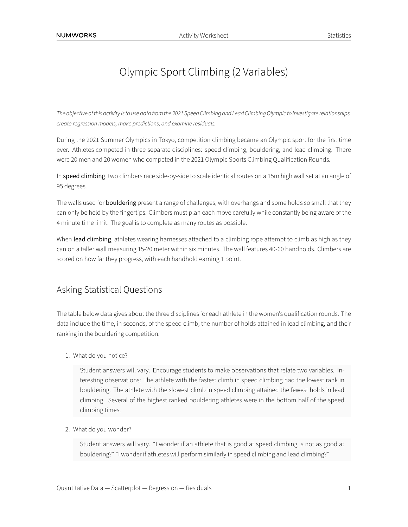# Olympic Sport Climbing (2 Variables)

*The objective ofthis activity isto use data fromthe 2021 Speed Climbing and Lead Climbing Olympicto investigate relationships, create regression models, make predictions, and examine residuals.*

During the 2021 Summer Olympics in Tokyo, competition climbing became an Olympic sport for the first time ever. Athletes competed in three separate disciplines: speed climbing, bouldering, and lead climbing. There were 20 men and 20 women who competed in the 2021 Olympic Sports Climbing Qualification Rounds.

In speed climbing, two climbers race side-by-side to scale identical routes on a 15m high wall set at an angle of 95 degrees.

The walls used for **bouldering** present a range of challenges, with overhangs and some holds so small that they can only be held by the fingertips. Climbers must plan each move carefully while constantly being aware of the 4 minute time limit. The goal is to complete as many routes as possible.

When lead climbing, athletes wearing harnesses attached to a climbing rope attempt to climb as high as they can on a taller wall measuring 15-20 meter within six minutes. The wall features 40-60 handholds. Climbers are scored on how far they progress, with each handhold earning 1 point.

## Asking Statistical Questions

The table below data gives about the three disciplines for each athlete in the women's qualification rounds. The data include the time, in seconds, of the speed climb, the number of holds attained in lead climbing, and their ranking in the bouldering competition.

1. What do you notice?

Student answers will vary. Encourage students to make observations that relate two variables. Interesting observations: The athlete with the fastest climb in speed climbing had the lowest rank in bouldering. The athlete with the slowest climb in speed climbing attained the fewest holds in lead climbing. Several of the highest ranked bouldering athletes were in the bottom half of the speed climbing times.

2. What do you wonder?

Student answers will vary. "I wonder if an athlete that is good at speed climbing is not as good at bouldering?" "I wonder if athletes will perform similarly in speed climbing and lead climbing?"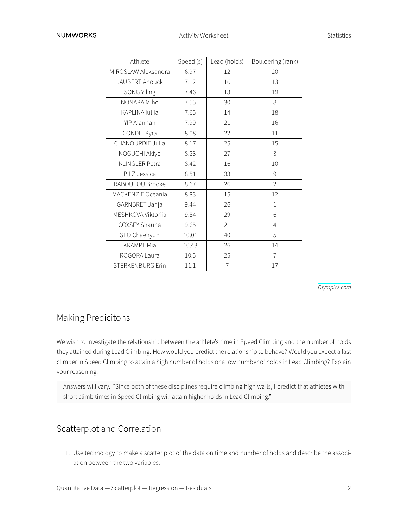| Athlete                 | Speed (s) | Lead (holds)   | Bouldering (rank) |
|-------------------------|-----------|----------------|-------------------|
| MIROSLAW Aleksandra     | 6.97      | 12             | 20                |
| JAUBERT Anouck          | 7.12      | 16             | 13                |
| <b>SONG Yiling</b>      | 7.46      | 13             | 19                |
| NONAKA Miho             | 7.55      | 30             | 8                 |
| KAPLINA Iuliia          | 7.65      | 14             | 18                |
| YIP Alannah             | 7.99      | 21             | 16                |
| CONDIE Kyra             | 8.08      | 22             | 11                |
| CHANOURDIE Julia        | 8.17      | 25             | 15                |
| NOGUCHI Akiyo           | 8.23      | 27             | 3                 |
| <b>KLINGLER Petra</b>   | 8.42      | 16             | 10                |
| PILZ Jessica            | 8.51      | 33             | 9                 |
| RABOUTOU Brooke         | 8.67      | 26             | $\overline{2}$    |
| MACKENZIE Oceania       | 8.83      | 15             | 12                |
| GARNBRET Janja          | 9.44      | 26             | $\mathbf{1}$      |
| MESHKOVA Viktoriia      | 9.54      | 29             | 6                 |
| COXSEY Shauna           | 9.65      | 21             | 4                 |
| SEO Chaehyun            | 10.01     | 40             | 5                 |
| <b>KRAMPL Mia</b>       | 10.43     | 26             | 14                |
| ROGORA Laura            | 10.5      | 25             | $\overline{7}$    |
| <b>STERKENBURG Erin</b> | 11.1      | $\overline{7}$ | 17                |

*[Olympics.com](https://olympics.com/tokyo-2020/olympic-games/en/results/sport-climbing/results-women-s-combined-qual-0001ld-.htm)*

### Making Predicitons

We wish to investigate the relationship between the athlete's time in Speed Climbing and the number of holds they attained during Lead Climbing. How would you predict the relationship to behave? Would you expect a fast climber in Speed Climbing to attain a high number of holds or a low number of holds in Lead Climbing? Explain your reasoning.

Answers will vary. "Since both of these disciplines require climbing high walls, I predict that athletes with short climb times in Speed Climbing will attain higher holds in Lead Climbing."

### Scatterplot and Correlation

1. Use technology to make a scatter plot of the data on time and number of holds and describe the association between the two variables.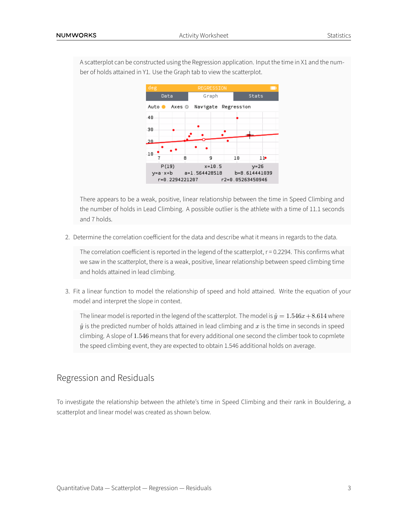

A scatterplot can be constructed using the Regression application. Input the time in X1 and the number of holds attained in Y1. Use the Graph tab to view the scatterplot.

There appears to be a weak, positive, linear relationship between the time in Speed Climbing and the number of holds in Lead Climbing. A possible outlier is the athlete with a time of 11.1 seconds and 7 holds.

2. Determine the correlation coefficient for the data and describe what it means in regards to the data.

The correlation coefficient is reported in the legend of the scatterplot,  $r = 0.2294$ . This confirms what we saw in the scatterplot, there is a weak, positive, linear relationship between speed climbing time and holds attained in lead climbing.

3. Fit a linear function to model the relationship of speed and hold attained. Write the equation of your model and interpret the slope in context.

The linear model is reported in the legend of the scatterplot. The model is  $\hat{y} = 1.546x + 8.614$  where  $\hat{y}$  is the predicted number of holds attained in lead climbing and  $x$  is the time in seconds in speed climbing. A slope of 1*.*546 means that for every additional one second the climber took to copmlete the speed climbing event, they are expected to obtain 1.546 additional holds on average.

### Regression and Residuals

To investigate the relationship between the athlete's time in Speed Climbing and their rank in Bouldering, a scatterplot and linear model was created as shown below.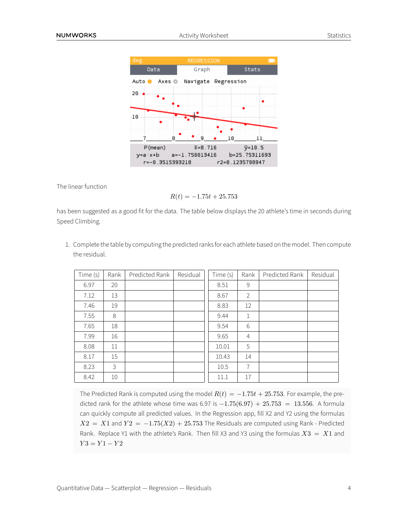| deg                                                 | REGRESSION |                     |  |       |                  |  |  |  |
|-----------------------------------------------------|------------|---------------------|--|-------|------------------|--|--|--|
| Data                                                |            | Graph               |  | Stats |                  |  |  |  |
| Auto                                                | Axes ☺     | Navigate Regression |  |       |                  |  |  |  |
| 20                                                  |            |                     |  |       |                  |  |  |  |
|                                                     |            |                     |  |       |                  |  |  |  |
| 10                                                  |            |                     |  |       |                  |  |  |  |
|                                                     |            |                     |  |       |                  |  |  |  |
|                                                     |            |                     |  | 10    |                  |  |  |  |
| P(mean)                                             |            | $\bar{x} = 8.716$   |  |       | $\bar{y} = 10.5$ |  |  |  |
| $y=a \cdot x + b$ $a=-1.750013416$<br>b=25.75311693 |            |                     |  |       |                  |  |  |  |
| r=-0.3515393218<br>r2=0.1235798947                  |            |                     |  |       |                  |  |  |  |

The linear function

$$
R(t) = -1.75t + 25.753
$$

has been suggested as a good fit for the data. The table below displays the 20 athlete's time in seconds during Speed Climbing.

1. Complete the table by computing the predicted ranks for each athlete based on the model. Then compute the residual.

| Time (s) | Rank | Predicted Rank | Residual | Time (s) | Rank           | Predicted Rank | Residual |
|----------|------|----------------|----------|----------|----------------|----------------|----------|
| 6.97     | 20   |                |          | 8.51     | 9              |                |          |
| 7.12     | 13   |                |          | 8.67     | 2              |                |          |
| 7.46     | 19   |                |          | 8.83     | 12             |                |          |
| 7.55     | 8    |                |          | 9.44     | 1              |                |          |
| 7.65     | 18   |                |          | 9.54     | 6              |                |          |
| 7.99     | 16   |                |          | 9.65     | $\overline{4}$ |                |          |
| 8.08     | 11   |                |          | 10.01    | 5              |                |          |
| 8.17     | 15   |                |          | 10.43    | 14             |                |          |
| 8.23     | 3    |                |          | 10.5     | 7              |                |          |
| 8.42     | 10   |                |          | 11.1     | 17             |                |          |

The Predicted Rank is computed using the model  $R(t) = -1.75t + 25.753$ . For example, the predicted rank for the athlete whose time was 6.97 is *−*1*.*75(6*.*97) + 25*.*753 = 13*.*556. A formula can quickly compute all predicted values. In the Regression app, fill X2 and Y2 using the formulas  $X2 = X1$  and  $Y2 = -1.75(X2) + 25.753$  The Residuals are computed using Rank - Predicted Rank. Replace Y1 with the athlete's Rank. Then fill X3 and Y3 using the formulas *X*3 = *X*1 and *Y* 3 = *Y* 1 *− Y* 2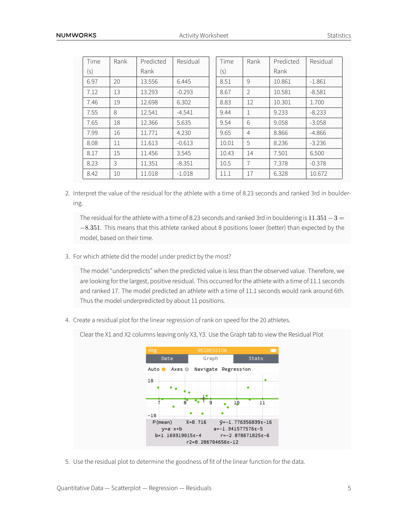| Time | Rank | Predicted | Residual | Time  | Rank           | Predicted | Residual |
|------|------|-----------|----------|-------|----------------|-----------|----------|
| (s)  |      | Rank      |          | (s)   |                | Rank      |          |
| 6.97 | 20   | 13.556    | 6.445    | 8.51  | 9              | 10.861    | $-1.861$ |
| 7.12 | 13   | 13.293    | $-0.293$ | 8.67  | $\overline{2}$ | 10.581    | $-8.581$ |
| 7.46 | 19   | 12.698    | 6.302    | 8.83  | 12             | 10.301    | 1.700    |
| 7.55 | 8    | 12.541    | $-4.541$ | 9.44  | 1              | 9.233     | $-8.233$ |
| 7.65 | 18   | 12.366    | 5.635    | 9.54  | 6              | 9.058     | $-3.058$ |
| 7.99 | 16   | 11.771    | 4.230    | 9.65  | $\overline{4}$ | 8.866     | $-4.866$ |
| 8.08 | 11   | 11.613    | $-0.613$ | 10.01 | 5              | 8.236     | $-3.236$ |
| 8.17 | 15   | 11.456    | 3.545    | 10.43 | 14             | 7.501     | 6.500    |
| 8.23 | 3    | 11.351    | $-8.351$ | 10.5  | 7              | 7.378     | $-0.378$ |
| 8.42 | 10   | 11.018    | $-1.018$ | 11.1  | 17             | 6.328     | 10.672   |

2. Interpret the value of the residual for the athlete with a time of 8.23 seconds and ranked 3rd in bouldering.

The residual for the athlete with a time of 8.23 seconds and ranked 3rd in bouldering is 11*.*351*−*3 = *−*8*.*351. This means that this athlete ranked about 8 positions lower (better) than expected by the model, based on their time.

3. For which athlete did the model under predict by the most?

The model "underpredicts" when the predicted value is less than the observed value. Therefore, we are looking for the largest, positive residual. This occurred for the athlete with a time of 11.1 seconds and ranked 17. The model predicted an athlete with a time of 11.1 seconds would rank around 6th. Thus the model underpredicted by about 11 positions.

4. Create a residual plot for the linear regression of rank on speed for the 20 athletes.

Clear the X1 and X2 columns leaving only X3, Y3. Use the Graph tab to view the Residual Plot



5. Use the residual plot to determine the goodness of fit of the linear function for the data.